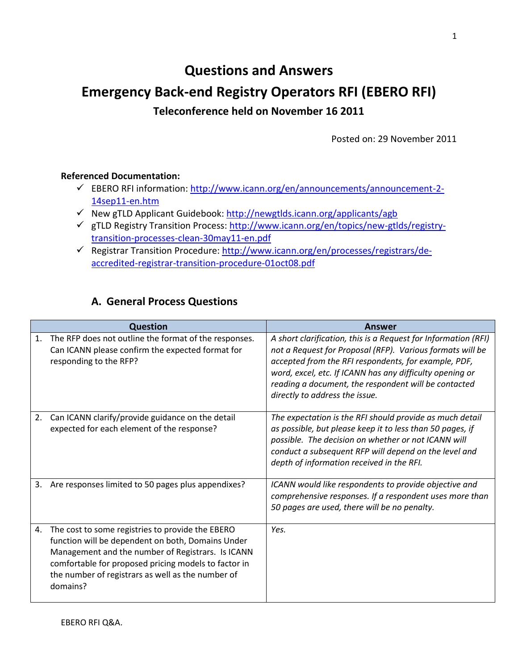# **Questions and Answers Emergency Back-end Registry Operators RFI (EBERO RFI) Teleconference held on November 16 2011**

Posted on: 29 November 2011

#### **Referenced Documentation:**

- EBERO RFI information: [http://www.icann.org/en/announcements/announcement-2-](http://www.icann.org/en/announcements/announcement-2-14sep11-en.htm) [14sep11-en.htm](http://www.icann.org/en/announcements/announcement-2-14sep11-en.htm)
- $\checkmark$  New gTLD Applicant Guidebook: <http://newgtlds.icann.org/applicants/agb>
- gTLD Registry Transition Process: [http://www.icann.org/en/topics/new-gtlds/registry](http://www.icann.org/en/topics/new-gtlds/registry-transition-processes-clean-30may11-en.pdf)[transition-processes-clean-30may11-en.pdf](http://www.icann.org/en/topics/new-gtlds/registry-transition-processes-clean-30may11-en.pdf)
- Registrar Transition Procedure: [http://www.icann.org/en/processes/registrars/de](http://www.icann.org/en/processes/registrars/de-accredited-registrar-transition-procedure-01oct08.pdf)[accredited-registrar-transition-procedure-01oct08.pdf](http://www.icann.org/en/processes/registrars/de-accredited-registrar-transition-procedure-01oct08.pdf)

#### **A. General Process Questions**

|    | <b>Question</b>                                                                                                                                                                                                                                                                     | Answer                                                                                                                                                                                                                                                                                                                                    |
|----|-------------------------------------------------------------------------------------------------------------------------------------------------------------------------------------------------------------------------------------------------------------------------------------|-------------------------------------------------------------------------------------------------------------------------------------------------------------------------------------------------------------------------------------------------------------------------------------------------------------------------------------------|
| 1. | The RFP does not outline the format of the responses.<br>Can ICANN please confirm the expected format for<br>responding to the RFP?                                                                                                                                                 | A short clarification, this is a Request for Information (RFI)<br>not a Request for Proposal (RFP). Various formats will be<br>accepted from the RFI respondents, for example, PDF,<br>word, excel, etc. If ICANN has any difficulty opening or<br>reading a document, the respondent will be contacted<br>directly to address the issue. |
| 2. | Can ICANN clarify/provide guidance on the detail<br>expected for each element of the response?                                                                                                                                                                                      | The expectation is the RFI should provide as much detail<br>as possible, but please keep it to less than 50 pages, if<br>possible. The decision on whether or not ICANN will<br>conduct a subsequent RFP will depend on the level and<br>depth of information received in the RFI.                                                        |
| 3. | Are responses limited to 50 pages plus appendixes?                                                                                                                                                                                                                                  | ICANN would like respondents to provide objective and<br>comprehensive responses. If a respondent uses more than<br>50 pages are used, there will be no penalty.                                                                                                                                                                          |
| 4. | The cost to some registries to provide the EBERO<br>function will be dependent on both, Domains Under<br>Management and the number of Registrars. Is ICANN<br>comfortable for proposed pricing models to factor in<br>the number of registrars as well as the number of<br>domains? | Yes.                                                                                                                                                                                                                                                                                                                                      |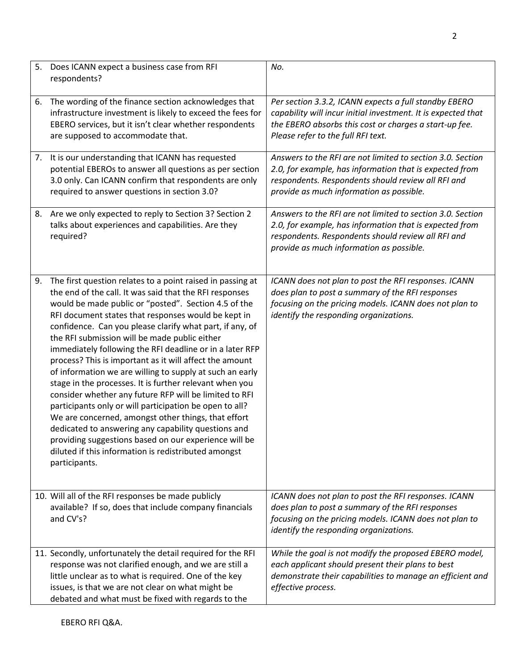|    | 5. Does ICANN expect a business case from RFI<br>respondents?                                                                                                                                                                                                                                                                                                                                                                                                                                                                                                                                                                                                                                                                                                                                                                                                                                                                                                        | No.                                                                                                                                                                                                                     |
|----|----------------------------------------------------------------------------------------------------------------------------------------------------------------------------------------------------------------------------------------------------------------------------------------------------------------------------------------------------------------------------------------------------------------------------------------------------------------------------------------------------------------------------------------------------------------------------------------------------------------------------------------------------------------------------------------------------------------------------------------------------------------------------------------------------------------------------------------------------------------------------------------------------------------------------------------------------------------------|-------------------------------------------------------------------------------------------------------------------------------------------------------------------------------------------------------------------------|
| 6. | The wording of the finance section acknowledges that<br>infrastructure investment is likely to exceed the fees for<br>EBERO services, but it isn't clear whether respondents<br>are supposed to accommodate that.                                                                                                                                                                                                                                                                                                                                                                                                                                                                                                                                                                                                                                                                                                                                                    | Per section 3.3.2, ICANN expects a full standby EBERO<br>capability will incur initial investment. It is expected that<br>the EBERO absorbs this cost or charges a start-up fee.<br>Please refer to the full RFI text.  |
|    | 7. It is our understanding that ICANN has requested<br>potential EBEROs to answer all questions as per section<br>3.0 only. Can ICANN confirm that respondents are only<br>required to answer questions in section 3.0?                                                                                                                                                                                                                                                                                                                                                                                                                                                                                                                                                                                                                                                                                                                                              | Answers to the RFI are not limited to section 3.0. Section<br>2.0, for example, has information that is expected from<br>respondents. Respondents should review all RFI and<br>provide as much information as possible. |
|    | 8. Are we only expected to reply to Section 3? Section 2<br>talks about experiences and capabilities. Are they<br>required?                                                                                                                                                                                                                                                                                                                                                                                                                                                                                                                                                                                                                                                                                                                                                                                                                                          | Answers to the RFI are not limited to section 3.0. Section<br>2.0, for example, has information that is expected from<br>respondents. Respondents should review all RFI and<br>provide as much information as possible. |
| 9. | The first question relates to a point raised in passing at<br>the end of the call. It was said that the RFI responses<br>would be made public or "posted". Section 4.5 of the<br>RFI document states that responses would be kept in<br>confidence. Can you please clarify what part, if any, of<br>the RFI submission will be made public either<br>immediately following the RFI deadline or in a later RFP<br>process? This is important as it will affect the amount<br>of information we are willing to supply at such an early<br>stage in the processes. It is further relevant when you<br>consider whether any future RFP will be limited to RFI<br>participants only or will participation be open to all?<br>We are concerned, amongst other things, that effort<br>dedicated to answering any capability questions and<br>providing suggestions based on our experience will be<br>diluted if this information is redistributed amongst<br>participants. | ICANN does not plan to post the RFI responses. ICANN<br>does plan to post a summary of the RFI responses<br>focusing on the pricing models. ICANN does not plan to<br>identify the responding organizations.            |
|    | 10. Will all of the RFI responses be made publicly<br>available? If so, does that include company financials<br>and CV's?                                                                                                                                                                                                                                                                                                                                                                                                                                                                                                                                                                                                                                                                                                                                                                                                                                            | ICANN does not plan to post the RFI responses. ICANN<br>does plan to post a summary of the RFI responses<br>focusing on the pricing models. ICANN does not plan to<br>identify the responding organizations.            |
|    | 11. Secondly, unfortunately the detail required for the RFI<br>response was not clarified enough, and we are still a<br>little unclear as to what is required. One of the key<br>issues, is that we are not clear on what might be<br>debated and what must be fixed with regards to the                                                                                                                                                                                                                                                                                                                                                                                                                                                                                                                                                                                                                                                                             | While the goal is not modify the proposed EBERO model,<br>each applicant should present their plans to best<br>demonstrate their capabilities to manage an efficient and<br>effective process.                          |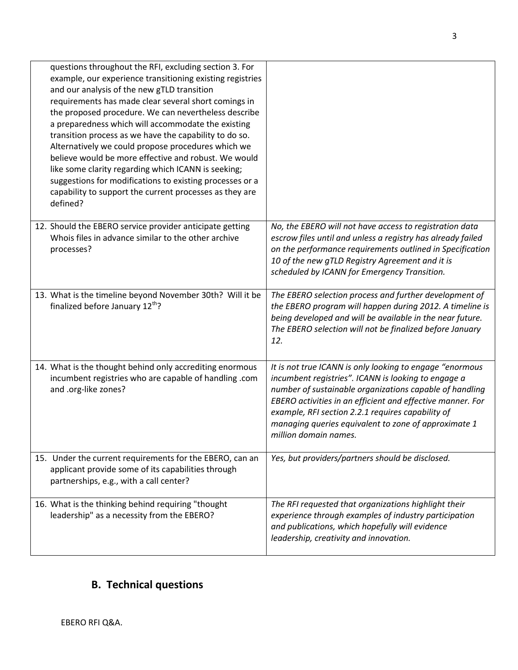| questions throughout the RFI, excluding section 3. For<br>example, our experience transitioning existing registries<br>and our analysis of the new gTLD transition<br>requirements has made clear several short comings in<br>the proposed procedure. We can nevertheless describe<br>a preparedness which will accommodate the existing<br>transition process as we have the capability to do so.<br>Alternatively we could propose procedures which we<br>believe would be more effective and robust. We would<br>like some clarity regarding which ICANN is seeking;<br>suggestions for modifications to existing processes or a<br>capability to support the current processes as they are<br>defined? |                                                                                                                                                                                                                                                                                                                                                                                |
|------------------------------------------------------------------------------------------------------------------------------------------------------------------------------------------------------------------------------------------------------------------------------------------------------------------------------------------------------------------------------------------------------------------------------------------------------------------------------------------------------------------------------------------------------------------------------------------------------------------------------------------------------------------------------------------------------------|--------------------------------------------------------------------------------------------------------------------------------------------------------------------------------------------------------------------------------------------------------------------------------------------------------------------------------------------------------------------------------|
| 12. Should the EBERO service provider anticipate getting<br>Whois files in advance similar to the other archive<br>processes?                                                                                                                                                                                                                                                                                                                                                                                                                                                                                                                                                                              | No, the EBERO will not have access to registration data<br>escrow files until and unless a registry has already failed<br>on the performance requirements outlined in Specification<br>10 of the new gTLD Registry Agreement and it is<br>scheduled by ICANN for Emergency Transition.                                                                                         |
| 13. What is the timeline beyond November 30th? Will it be<br>finalized before January 12 <sup>th</sup> ?                                                                                                                                                                                                                                                                                                                                                                                                                                                                                                                                                                                                   | The EBERO selection process and further development of<br>the EBERO program will happen during 2012. A timeline is<br>being developed and will be available in the near future.<br>The EBERO selection will not be finalized before January<br>12.                                                                                                                             |
| 14. What is the thought behind only accrediting enormous<br>incumbent registries who are capable of handling .com<br>and .org-like zones?                                                                                                                                                                                                                                                                                                                                                                                                                                                                                                                                                                  | It is not true ICANN is only looking to engage "enormous<br>incumbent registries". ICANN is looking to engage a<br>number of sustainable organizations capable of handling<br>EBERO activities in an efficient and effective manner. For<br>example, RFI section 2.2.1 requires capability of<br>managing queries equivalent to zone of approximate 1<br>million domain names. |
| 15. Under the current requirements for the EBERO, can an<br>applicant provide some of its capabilities through<br>partnerships, e.g., with a call center?                                                                                                                                                                                                                                                                                                                                                                                                                                                                                                                                                  | Yes, but providers/partners should be disclosed.                                                                                                                                                                                                                                                                                                                               |
| 16. What is the thinking behind requiring "thought<br>leadership" as a necessity from the EBERO?                                                                                                                                                                                                                                                                                                                                                                                                                                                                                                                                                                                                           | The RFI requested that organizations highlight their<br>experience through examples of industry participation<br>and publications, which hopefully will evidence<br>leadership, creativity and innovation.                                                                                                                                                                     |

3

## **B. Technical questions**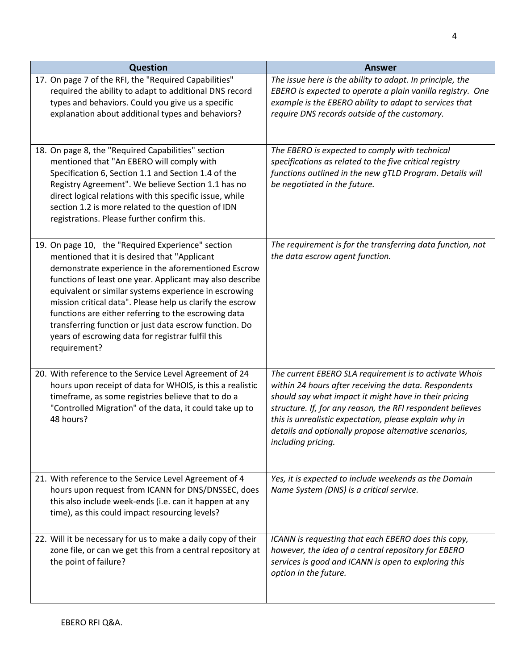| <b>Question</b>                                                                                                                                                                                                                                                                                                                                                                                                                                                                                                                   | <b>Answer</b>                                                                                                                                                                                                                                                                                                                                                                   |
|-----------------------------------------------------------------------------------------------------------------------------------------------------------------------------------------------------------------------------------------------------------------------------------------------------------------------------------------------------------------------------------------------------------------------------------------------------------------------------------------------------------------------------------|---------------------------------------------------------------------------------------------------------------------------------------------------------------------------------------------------------------------------------------------------------------------------------------------------------------------------------------------------------------------------------|
| 17. On page 7 of the RFI, the "Required Capabilities"<br>required the ability to adapt to additional DNS record<br>types and behaviors. Could you give us a specific<br>explanation about additional types and behaviors?                                                                                                                                                                                                                                                                                                         | The issue here is the ability to adapt. In principle, the<br>EBERO is expected to operate a plain vanilla registry. One<br>example is the EBERO ability to adapt to services that<br>require DNS records outside of the customary.                                                                                                                                              |
| 18. On page 8, the "Required Capabilities" section<br>mentioned that "An EBERO will comply with<br>Specification 6, Section 1.1 and Section 1.4 of the<br>Registry Agreement". We believe Section 1.1 has no<br>direct logical relations with this specific issue, while<br>section 1.2 is more related to the question of IDN<br>registrations. Please further confirm this.                                                                                                                                                     | The EBERO is expected to comply with technical<br>specifications as related to the five critical registry<br>functions outlined in the new gTLD Program. Details will<br>be negotiated in the future.                                                                                                                                                                           |
| 19. On page 10, the "Required Experience" section<br>mentioned that it is desired that "Applicant<br>demonstrate experience in the aforementioned Escrow<br>functions of least one year. Applicant may also describe<br>equivalent or similar systems experience in escrowing<br>mission critical data". Please help us clarify the escrow<br>functions are either referring to the escrowing data<br>transferring function or just data escrow function. Do<br>years of escrowing data for registrar fulfil this<br>requirement? | The requirement is for the transferring data function, not<br>the data escrow agent function.                                                                                                                                                                                                                                                                                   |
| 20. With reference to the Service Level Agreement of 24<br>hours upon receipt of data for WHOIS, is this a realistic<br>timeframe, as some registries believe that to do a<br>"Controlled Migration" of the data, it could take up to<br>48 hours?                                                                                                                                                                                                                                                                                | The current EBERO SLA requirement is to activate Whois<br>within 24 hours after receiving the data. Respondents<br>should say what impact it might have in their pricing<br>structure. If, for any reason, the RFI respondent believes<br>this is unrealistic expectation, please explain why in<br>details and optionally propose alternative scenarios,<br>including pricing. |
| 21. With reference to the Service Level Agreement of 4<br>hours upon request from ICANN for DNS/DNSSEC, does<br>this also include week-ends (i.e. can it happen at any<br>time), as this could impact resourcing levels?                                                                                                                                                                                                                                                                                                          | Yes, it is expected to include weekends as the Domain<br>Name System (DNS) is a critical service.                                                                                                                                                                                                                                                                               |
| 22. Will it be necessary for us to make a daily copy of their<br>zone file, or can we get this from a central repository at<br>the point of failure?                                                                                                                                                                                                                                                                                                                                                                              | ICANN is requesting that each EBERO does this copy,<br>however, the idea of a central repository for EBERO<br>services is good and ICANN is open to exploring this<br>option in the future.                                                                                                                                                                                     |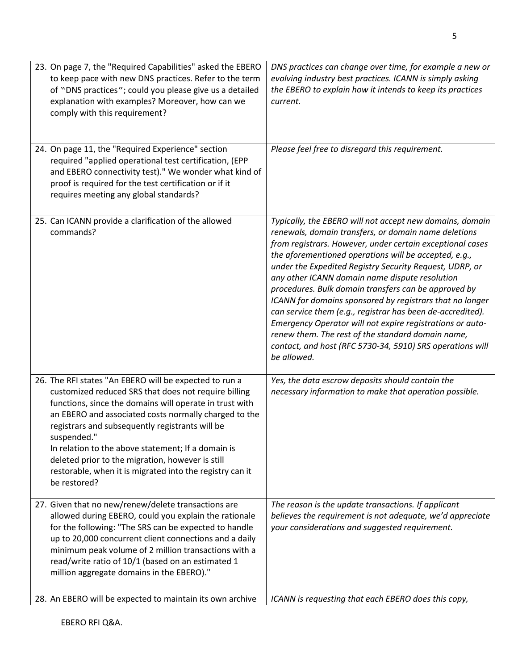| 23. On page 7, the "Required Capabilities" asked the EBERO<br>to keep pace with new DNS practices. Refer to the term<br>of "DNS practices"; could you please give us a detailed<br>explanation with examples? Moreover, how can we<br>comply with this requirement?                                                                                                                                                                                                                        | DNS practices can change over time, for example a new or<br>evolving industry best practices. ICANN is simply asking<br>the EBERO to explain how it intends to keep its practices<br>current.                                                                                                                                                                                                                                                                                                                                                                                                                                                                                                                                       |
|--------------------------------------------------------------------------------------------------------------------------------------------------------------------------------------------------------------------------------------------------------------------------------------------------------------------------------------------------------------------------------------------------------------------------------------------------------------------------------------------|-------------------------------------------------------------------------------------------------------------------------------------------------------------------------------------------------------------------------------------------------------------------------------------------------------------------------------------------------------------------------------------------------------------------------------------------------------------------------------------------------------------------------------------------------------------------------------------------------------------------------------------------------------------------------------------------------------------------------------------|
| 24. On page 11, the "Required Experience" section<br>required "applied operational test certification, (EPP<br>and EBERO connectivity test)." We wonder what kind of<br>proof is required for the test certification or if it<br>requires meeting any global standards?                                                                                                                                                                                                                    | Please feel free to disregard this requirement.                                                                                                                                                                                                                                                                                                                                                                                                                                                                                                                                                                                                                                                                                     |
| 25. Can ICANN provide a clarification of the allowed<br>commands?                                                                                                                                                                                                                                                                                                                                                                                                                          | Typically, the EBERO will not accept new domains, domain<br>renewals, domain transfers, or domain name deletions<br>from registrars. However, under certain exceptional cases<br>the aforementioned operations will be accepted, e.g.,<br>under the Expedited Registry Security Request, UDRP, or<br>any other ICANN domain name dispute resolution<br>procedures. Bulk domain transfers can be approved by<br>ICANN for domains sponsored by registrars that no longer<br>can service them (e.g., registrar has been de-accredited).<br>Emergency Operator will not expire registrations or auto-<br>renew them. The rest of the standard domain name,<br>contact, and host (RFC 5730-34, 5910) SRS operations will<br>be allowed. |
| 26. The RFI states "An EBERO will be expected to run a<br>customized reduced SRS that does not require billing<br>functions, since the domains will operate in trust with<br>an EBERO and associated costs normally charged to the<br>registrars and subsequently registrants will be<br>suspended."<br>In relation to the above statement; If a domain is<br>deleted prior to the migration, however is still<br>restorable, when it is migrated into the registry can it<br>be restored? | Yes, the data escrow deposits should contain the<br>necessary information to make that operation possible.                                                                                                                                                                                                                                                                                                                                                                                                                                                                                                                                                                                                                          |
| 27. Given that no new/renew/delete transactions are<br>allowed during EBERO, could you explain the rationale<br>for the following: "The SRS can be expected to handle<br>up to 20,000 concurrent client connections and a daily<br>minimum peak volume of 2 million transactions with a<br>read/write ratio of 10/1 (based on an estimated 1<br>million aggregate domains in the EBERO)."                                                                                                  | The reason is the update transactions. If applicant<br>believes the requirement is not adequate, we'd appreciate<br>your considerations and suggested requirement.                                                                                                                                                                                                                                                                                                                                                                                                                                                                                                                                                                  |
| 28. An EBERO will be expected to maintain its own archive                                                                                                                                                                                                                                                                                                                                                                                                                                  | ICANN is requesting that each EBERO does this copy,                                                                                                                                                                                                                                                                                                                                                                                                                                                                                                                                                                                                                                                                                 |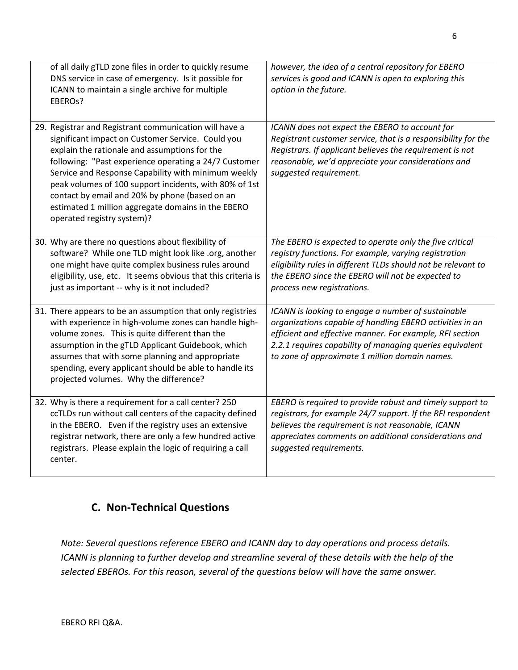| of all daily gTLD zone files in order to quickly resume<br>DNS service in case of emergency. Is it possible for<br>ICANN to maintain a single archive for multiple<br>EBERO <sub>s</sub> ?                                                                                                                                                                                                                                                                                   | however, the idea of a central repository for EBERO<br>services is good and ICANN is open to exploring this<br>option in the future.                                                                                                                                                     |
|------------------------------------------------------------------------------------------------------------------------------------------------------------------------------------------------------------------------------------------------------------------------------------------------------------------------------------------------------------------------------------------------------------------------------------------------------------------------------|------------------------------------------------------------------------------------------------------------------------------------------------------------------------------------------------------------------------------------------------------------------------------------------|
| 29. Registrar and Registrant communication will have a<br>significant impact on Customer Service. Could you<br>explain the rationale and assumptions for the<br>following: "Past experience operating a 24/7 Customer<br>Service and Response Capability with minimum weekly<br>peak volumes of 100 support incidents, with 80% of 1st<br>contact by email and 20% by phone (based on an<br>estimated 1 million aggregate domains in the EBERO<br>operated registry system)? | ICANN does not expect the EBERO to account for<br>Registrant customer service, that is a responsibility for the<br>Registrars. If applicant believes the requirement is not<br>reasonable, we'd appreciate your considerations and<br>suggested requirement.                             |
| 30. Why are there no questions about flexibility of<br>software? While one TLD might look like .org, another<br>one might have quite complex business rules around<br>eligibility, use, etc. It seems obvious that this criteria is<br>just as important -- why is it not included?                                                                                                                                                                                          | The EBERO is expected to operate only the five critical<br>registry functions. For example, varying registration<br>eligibility rules in different TLDs should not be relevant to<br>the EBERO since the EBERO will not be expected to<br>process new registrations.                     |
| 31. There appears to be an assumption that only registries<br>with experience in high-volume zones can handle high-<br>volume zones. This is quite different than the<br>assumption in the gTLD Applicant Guidebook, which<br>assumes that with some planning and appropriate<br>spending, every applicant should be able to handle its<br>projected volumes. Why the difference?                                                                                            | ICANN is looking to engage a number of sustainable<br>organizations capable of handling EBERO activities in an<br>efficient and effective manner. For example, RFI section<br>2.2.1 requires capability of managing queries equivalent<br>to zone of approximate 1 million domain names. |
| 32. Why is there a requirement for a call center? 250<br>ccTLDs run without call centers of the capacity defined<br>in the EBERO. Even if the registry uses an extensive<br>registrar network, there are only a few hundred active<br>registrars. Please explain the logic of requiring a call<br>center.                                                                                                                                                                    | EBERO is required to provide robust and timely support to<br>registrars, for example 24/7 support. If the RFI respondent<br>believes the requirement is not reasonable, ICANN<br>appreciates comments on additional considerations and<br>suggested requirements.                        |

### **C. Non-Technical Questions**

*Note: Several questions reference EBERO and ICANN day to day operations and process details. ICANN is planning to further develop and streamline several of these details with the help of the selected EBEROs. For this reason, several of the questions below will have the same answer.*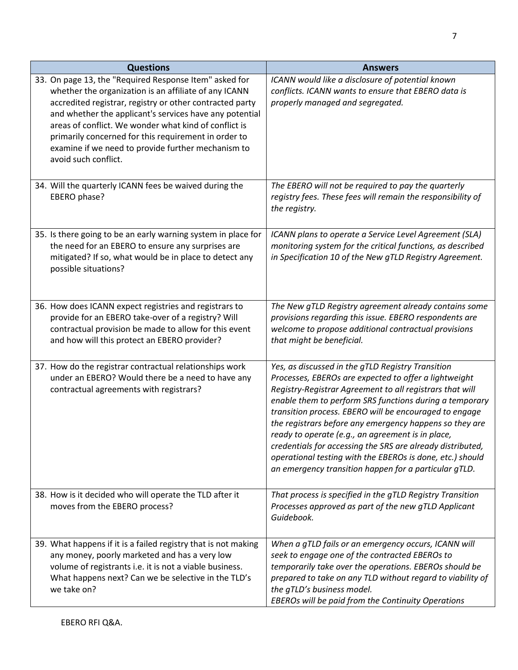| <b>Questions</b>                                                                                                                                                                                                                                                                                                                                                                                                                      | <b>Answers</b>                                                                                                                                                                                                                                                                                                                                                                                                                                                                                                                                                                                  |
|---------------------------------------------------------------------------------------------------------------------------------------------------------------------------------------------------------------------------------------------------------------------------------------------------------------------------------------------------------------------------------------------------------------------------------------|-------------------------------------------------------------------------------------------------------------------------------------------------------------------------------------------------------------------------------------------------------------------------------------------------------------------------------------------------------------------------------------------------------------------------------------------------------------------------------------------------------------------------------------------------------------------------------------------------|
| 33. On page 13, the "Required Response Item" asked for<br>whether the organization is an affiliate of any ICANN<br>accredited registrar, registry or other contracted party<br>and whether the applicant's services have any potential<br>areas of conflict. We wonder what kind of conflict is<br>primarily concerned for this requirement in order to<br>examine if we need to provide further mechanism to<br>avoid such conflict. | ICANN would like a disclosure of potential known<br>conflicts. ICANN wants to ensure that EBERO data is<br>properly managed and segregated.                                                                                                                                                                                                                                                                                                                                                                                                                                                     |
| 34. Will the quarterly ICANN fees be waived during the<br>EBERO phase?                                                                                                                                                                                                                                                                                                                                                                | The EBERO will not be required to pay the quarterly<br>registry fees. These fees will remain the responsibility of<br>the registry.                                                                                                                                                                                                                                                                                                                                                                                                                                                             |
| 35. Is there going to be an early warning system in place for<br>the need for an EBERO to ensure any surprises are<br>mitigated? If so, what would be in place to detect any<br>possible situations?                                                                                                                                                                                                                                  | ICANN plans to operate a Service Level Agreement (SLA)<br>monitoring system for the critical functions, as described<br>in Specification 10 of the New gTLD Registry Agreement.                                                                                                                                                                                                                                                                                                                                                                                                                 |
| 36. How does ICANN expect registries and registrars to<br>provide for an EBERO take-over of a registry? Will<br>contractual provision be made to allow for this event<br>and how will this protect an EBERO provider?                                                                                                                                                                                                                 | The New gTLD Registry agreement already contains some<br>provisions regarding this issue. EBERO respondents are<br>welcome to propose additional contractual provisions<br>that might be beneficial.                                                                                                                                                                                                                                                                                                                                                                                            |
| 37. How do the registrar contractual relationships work<br>under an EBERO? Would there be a need to have any<br>contractual agreements with registrars?                                                                                                                                                                                                                                                                               | Yes, as discussed in the gTLD Registry Transition<br>Processes, EBEROs are expected to offer a lightweight<br>Registry-Registrar Agreement to all registrars that will<br>enable them to perform SRS functions during a temporary<br>transition process. EBERO will be encouraged to engage<br>the registrars before any emergency happens so they are<br>ready to operate (e.g., an agreement is in place,<br>credentials for accessing the SRS are already distributed,<br>operational testing with the EBEROs is done, etc.) should<br>an emergency transition happen for a particular gTLD. |
| 38. How is it decided who will operate the TLD after it<br>moves from the EBERO process?                                                                                                                                                                                                                                                                                                                                              | That process is specified in the gTLD Registry Transition<br>Processes approved as part of the new gTLD Applicant<br>Guidebook.                                                                                                                                                                                                                                                                                                                                                                                                                                                                 |
| 39. What happens if it is a failed registry that is not making<br>any money, poorly marketed and has a very low<br>volume of registrants i.e. it is not a viable business.<br>What happens next? Can we be selective in the TLD's<br>we take on?                                                                                                                                                                                      | When a gTLD fails or an emergency occurs, ICANN will<br>seek to engage one of the contracted EBEROs to<br>temporarily take over the operations. EBEROs should be<br>prepared to take on any TLD without regard to viability of<br>the gTLD's business model.<br>EBEROs will be paid from the Continuity Operations                                                                                                                                                                                                                                                                              |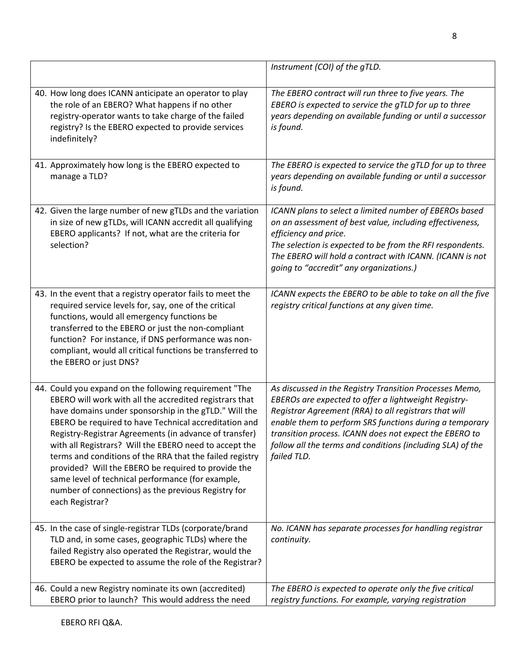|                                                                                                                                                                                                                                                                                                                                                                                                                                                                                                                                                                                                           | Instrument (COI) of the gTLD.                                                                                                                                                                                                                                                                                                                                              |
|-----------------------------------------------------------------------------------------------------------------------------------------------------------------------------------------------------------------------------------------------------------------------------------------------------------------------------------------------------------------------------------------------------------------------------------------------------------------------------------------------------------------------------------------------------------------------------------------------------------|----------------------------------------------------------------------------------------------------------------------------------------------------------------------------------------------------------------------------------------------------------------------------------------------------------------------------------------------------------------------------|
| 40. How long does ICANN anticipate an operator to play<br>the role of an EBERO? What happens if no other<br>registry-operator wants to take charge of the failed<br>registry? Is the EBERO expected to provide services<br>indefinitely?                                                                                                                                                                                                                                                                                                                                                                  | The EBERO contract will run three to five years. The<br>EBERO is expected to service the gTLD for up to three<br>years depending on available funding or until a successor<br>is found.                                                                                                                                                                                    |
| 41. Approximately how long is the EBERO expected to<br>manage a TLD?                                                                                                                                                                                                                                                                                                                                                                                                                                                                                                                                      | The EBERO is expected to service the gTLD for up to three<br>years depending on available funding or until a successor<br>is found.                                                                                                                                                                                                                                        |
| 42. Given the large number of new gTLDs and the variation<br>in size of new gTLDs, will ICANN accredit all qualifying<br>EBERO applicants? If not, what are the criteria for<br>selection?                                                                                                                                                                                                                                                                                                                                                                                                                | ICANN plans to select a limited number of EBEROs based<br>on an assessment of best value, including effectiveness,<br>efficiency and price.<br>The selection is expected to be from the RFI respondents.<br>The EBERO will hold a contract with ICANN. (ICANN is not<br>going to "accredit" any organizations.)                                                            |
| 43. In the event that a registry operator fails to meet the<br>required service levels for, say, one of the critical<br>functions, would all emergency functions be<br>transferred to the EBERO or just the non-compliant<br>function? For instance, if DNS performance was non-<br>compliant, would all critical functions be transferred to<br>the EBERO or just DNS?                                                                                                                                                                                                                                   | ICANN expects the EBERO to be able to take on all the five<br>registry critical functions at any given time.                                                                                                                                                                                                                                                               |
| 44. Could you expand on the following requirement "The<br>EBERO will work with all the accredited registrars that<br>have domains under sponsorship in the gTLD." Will the<br>EBERO be required to have Technical accreditation and<br>Registry-Registrar Agreements (in advance of transfer)<br>with all Registrars? Will the EBERO need to accept the<br>terms and conditions of the RRA that the failed registry<br>provided? Will the EBERO be required to provide the<br>same level of technical performance (for example,<br>number of connections) as the previous Registry for<br>each Registrar? | As discussed in the Registry Transition Processes Memo,<br>EBEROs are expected to offer a lightweight Registry-<br>Registrar Agreement (RRA) to all registrars that will<br>enable them to perform SRS functions during a temporary<br>transition process. ICANN does not expect the EBERO to<br>follow all the terms and conditions (including SLA) of the<br>failed TLD. |
| 45. In the case of single-registrar TLDs (corporate/brand<br>TLD and, in some cases, geographic TLDs) where the<br>failed Registry also operated the Registrar, would the<br>EBERO be expected to assume the role of the Registrar?                                                                                                                                                                                                                                                                                                                                                                       | No. ICANN has separate processes for handling registrar<br>continuity.                                                                                                                                                                                                                                                                                                     |
| 46. Could a new Registry nominate its own (accredited)<br>EBERO prior to launch? This would address the need                                                                                                                                                                                                                                                                                                                                                                                                                                                                                              | The EBERO is expected to operate only the five critical<br>registry functions. For example, varying registration                                                                                                                                                                                                                                                           |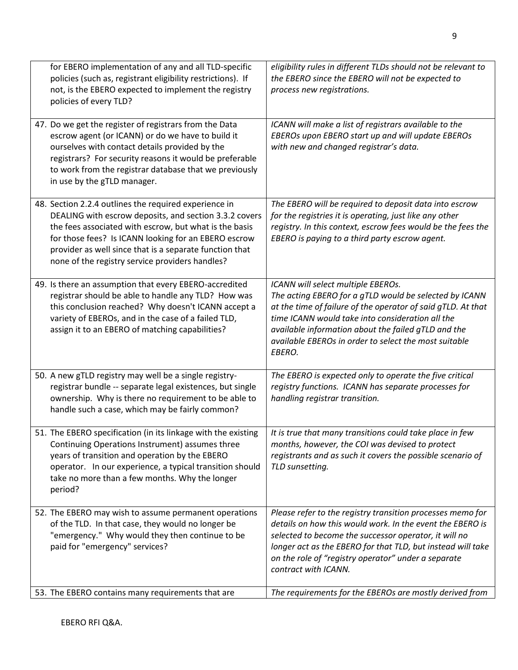| for EBERO implementation of any and all TLD-specific<br>policies (such as, registrant eligibility restrictions). If<br>not, is the EBERO expected to implement the registry<br>policies of every TLD?                                                                                                                                           | eligibility rules in different TLDs should not be relevant to<br>the EBERO since the EBERO will not be expected to<br>process new registrations.                                                                                                                                                                                           |
|-------------------------------------------------------------------------------------------------------------------------------------------------------------------------------------------------------------------------------------------------------------------------------------------------------------------------------------------------|--------------------------------------------------------------------------------------------------------------------------------------------------------------------------------------------------------------------------------------------------------------------------------------------------------------------------------------------|
| 47. Do we get the register of registrars from the Data<br>escrow agent (or ICANN) or do we have to build it<br>ourselves with contact details provided by the<br>registrars? For security reasons it would be preferable<br>to work from the registrar database that we previously<br>in use by the gTLD manager.                               | ICANN will make a list of registrars available to the<br>EBEROs upon EBERO start up and will update EBEROs<br>with new and changed registrar's data.                                                                                                                                                                                       |
| 48. Section 2.2.4 outlines the required experience in<br>DEALING with escrow deposits, and section 3.3.2 covers<br>the fees associated with escrow, but what is the basis<br>for those fees? Is ICANN looking for an EBERO escrow<br>provider as well since that is a separate function that<br>none of the registry service providers handles? | The EBERO will be required to deposit data into escrow<br>for the registries it is operating, just like any other<br>registry. In this context, escrow fees would be the fees the<br>EBERO is paying to a third party escrow agent.                                                                                                        |
| 49. Is there an assumption that every EBERO-accredited<br>registrar should be able to handle any TLD? How was<br>this conclusion reached? Why doesn't ICANN accept a<br>variety of EBEROs, and in the case of a failed TLD,<br>assign it to an EBERO of matching capabilities?                                                                  | ICANN will select multiple EBEROs.<br>The acting EBERO for a gTLD would be selected by ICANN<br>at the time of failure of the operator of said gTLD. At that<br>time ICANN would take into consideration all the<br>available information about the failed gTLD and the<br>available EBEROs in order to select the most suitable<br>EBERO. |
| 50. A new gTLD registry may well be a single registry-<br>registrar bundle -- separate legal existences, but single<br>ownership. Why is there no requirement to be able to<br>handle such a case, which may be fairly common?                                                                                                                  | The EBERO is expected only to operate the five critical<br>registry functions. ICANN has separate processes for<br>handling registrar transition.                                                                                                                                                                                          |
| 51. The EBERO specification (in its linkage with the existing<br>Continuing Operations Instrument) assumes three<br>years of transition and operation by the EBERO<br>operator. In our experience, a typical transition should<br>take no more than a few months. Why the longer<br>period?                                                     | It is true that many transitions could take place in few<br>months, however, the COI was devised to protect<br>registrants and as such it covers the possible scenario of<br>TLD sunsetting.                                                                                                                                               |
| 52. The EBERO may wish to assume permanent operations<br>of the TLD. In that case, they would no longer be<br>"emergency." Why would they then continue to be<br>paid for "emergency" services?                                                                                                                                                 | Please refer to the registry transition processes memo for<br>details on how this would work. In the event the EBERO is<br>selected to become the successor operator, it will no<br>longer act as the EBERO for that TLD, but instead will take<br>on the role of "registry operator" under a separate<br>contract with ICANN.             |
| 53. The EBERO contains many requirements that are                                                                                                                                                                                                                                                                                               | The requirements for the EBEROs are mostly derived from                                                                                                                                                                                                                                                                                    |